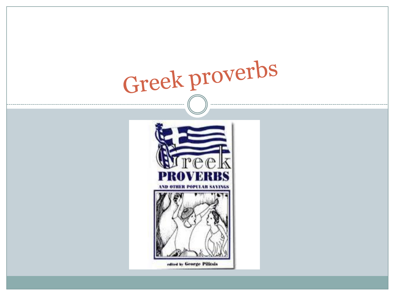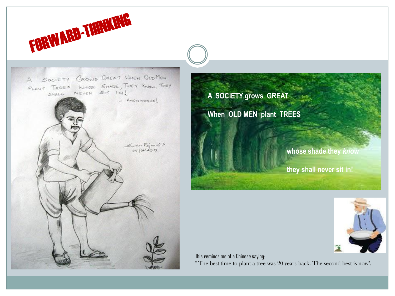

**A SOCIETY grows GREAT When OLD MEN plant TREES whose shade they** *know* **they shall never sit in!**



This reminds me of a Chinese saying: " The best time to plant a tree was 20 years back. The second best is now".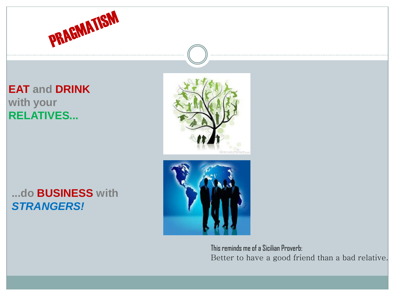

# **EAT and DRINK with your RELATIVES...**



## **...do BUSINESS with** *STRANGERS!*



This reminds me of a Sicilian Proverb: Better to have a good friend than a bad relative.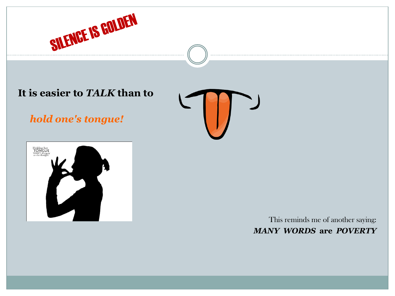

#### **It is easier to** *TALK* **than to**

*hold one's tongue!*





This reminds me of another saying: *MANY WORDS* **are** *POVERTY*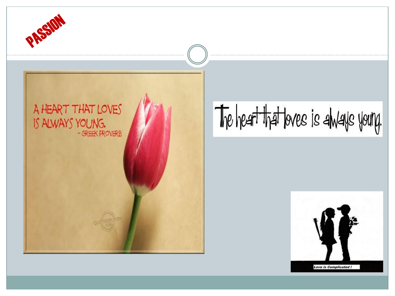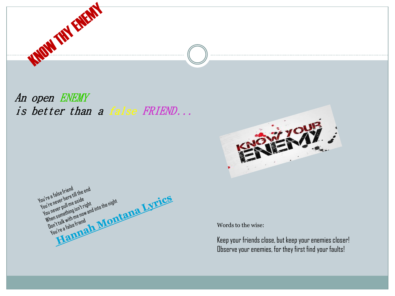

An open ENEMY is better than a false FRIEND...





Words to the wise:

Keep your friends close, but keep your enemies closer! Observe your enemies, for they first find your faults!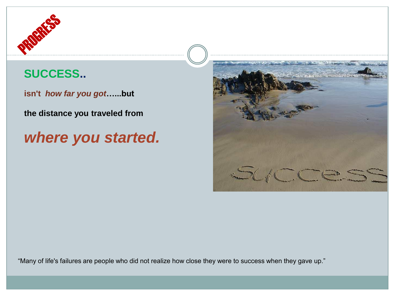

# **SUCCESS..**

**isn't** *how far you got***…...but**

**the distance you traveled from**

# *where you started.*



"Many of life's failures are people who did not realize how close they were to success when they gave up."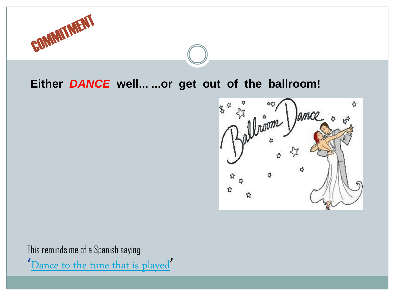

#### **Either** *DANCE* **well... ...or get out of the ballroom!**



This reminds me of a Spanish saying: '[Dance to the tune that is played](http://thinkexist.com/quotation/dance_to_the_tune_that_is/165774.html)'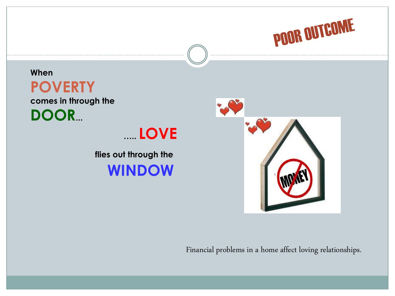

**When POVERTY comes in through the DOOR...**

**….. LOVE**

**flies out through the WINDOW**



Financial problems in a home affect loving relationships.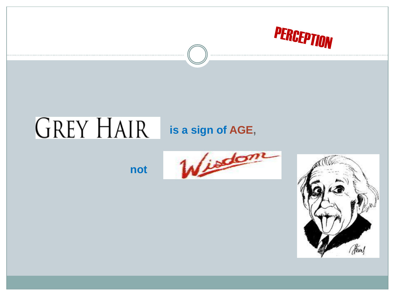

## **GREY HAIR** is a sign of AGE,

not